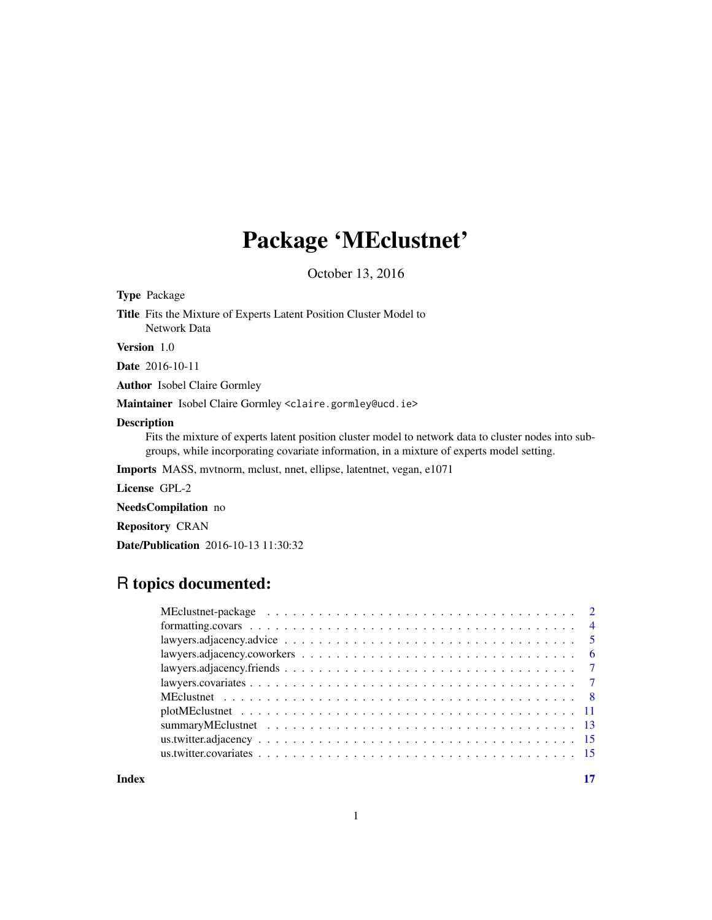# Package 'MEclustnet'

October 13, 2016

| <b>Type Package</b>                                                                                                                                                                                                     |
|-------------------------------------------------------------------------------------------------------------------------------------------------------------------------------------------------------------------------|
| <b>Title</b> Fits the Mixture of Experts Latent Position Cluster Model to<br>Network Data                                                                                                                               |
| <b>Version</b> 1.0                                                                                                                                                                                                      |
| <b>Date</b> 2016-10-11                                                                                                                                                                                                  |
| <b>Author</b> Isobel Claire Gormley                                                                                                                                                                                     |
| Maintainer Isobel Claire Gormley <claire.gormley@ucd.ie></claire.gormley@ucd.ie>                                                                                                                                        |
| <b>Description</b><br>Fits the mixture of experts latent position cluster model to network data to cluster nodes into sub-<br>groups, while incorporating covariate information, in a mixture of experts model setting. |
| <b>Imports</b> MASS, mythorm, mclust, nnet, ellipse, latenthet, vegan, e1071                                                                                                                                            |
| License GPL-2                                                                                                                                                                                                           |
| <b>NeedsCompilation</b> no                                                                                                                                                                                              |
| <b>Repository CRAN</b>                                                                                                                                                                                                  |
| <b>Date/Publication</b> 2016-10-13 11:30:32                                                                                                                                                                             |

## R topics documented:

**Index** [17](#page-16-0)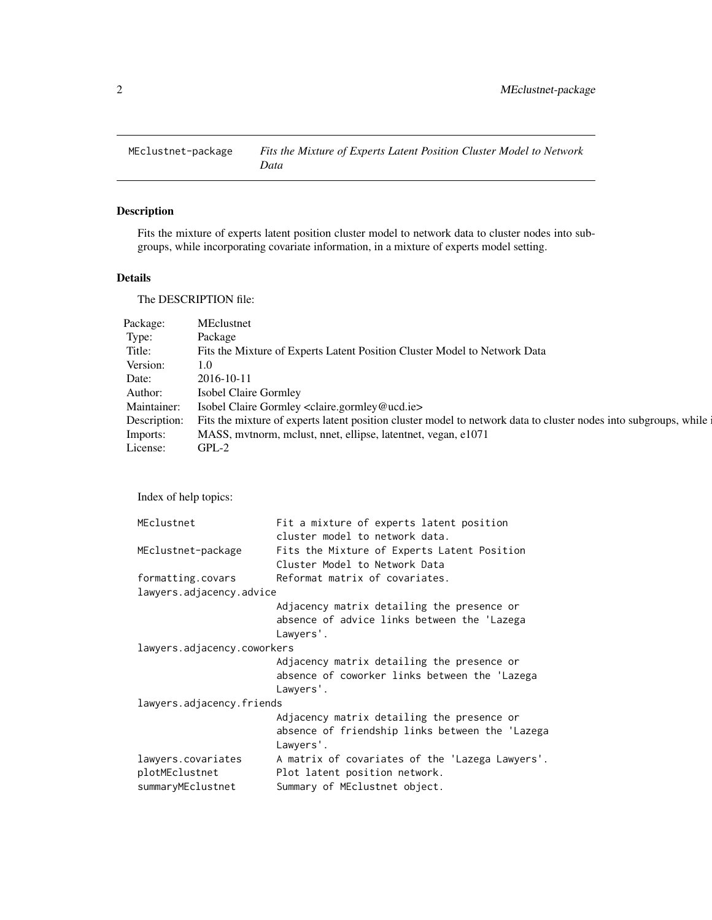<span id="page-1-0"></span>

## Description

Fits the mixture of experts latent position cluster model to network data to cluster nodes into subgroups, while incorporating covariate information, in a mixture of experts model setting.

## Details

The DESCRIPTION file:

| Package:     | MEclustnet                                                                                                       |
|--------------|------------------------------------------------------------------------------------------------------------------|
| Type:        | Package                                                                                                          |
| Title:       | Fits the Mixture of Experts Latent Position Cluster Model to Network Data                                        |
| Version:     | 1.0                                                                                                              |
| Date:        | 2016-10-11                                                                                                       |
| Author:      | Isobel Claire Gormley                                                                                            |
| Maintainer:  | Isobel Claire Gormley <claire.gormley@ucd.ie></claire.gormley@ucd.ie>                                            |
| Description: | Fits the mixture of experts latent position cluster model to network data to cluster nodes into subgroups, while |
| Imports:     | MASS, mythorm, mclust, nnet, ellipse, latentnet, vegan, e1071                                                    |
| License:     | $GPL-2$                                                                                                          |

Index of help topics:

| MEclustnet                  | Fit a mixture of experts latent position        |
|-----------------------------|-------------------------------------------------|
|                             | cluster model to network data.                  |
| MEclustnet-package          | Fits the Mixture of Experts Latent Position     |
|                             | Cluster Model to Network Data                   |
| formatting.covars           | Reformat matrix of covariates.                  |
| lawyers.adjacency.advice    |                                                 |
|                             | Adjacency matrix detailing the presence or      |
|                             | absence of advice links between the 'Lazega     |
|                             | Lawyers'.                                       |
| lawyers.adjacency.coworkers |                                                 |
|                             | Adjacency matrix detailing the presence or      |
|                             | absence of coworker links between the 'Lazega   |
|                             | Lawyers'.                                       |
| lawyers.adjacency.friends   |                                                 |
|                             | Adjacency matrix detailing the presence or      |
|                             | absence of friendship links between the 'Lazega |
|                             | Lawyers'.                                       |
| lawyers.covariates          | A matrix of covariates of the 'Lazega Lawyers'. |
| plotMEclustnet              | Plot latent position network.                   |
| summaryMEclustnet           | Summary of MEclustnet object.                   |
|                             |                                                 |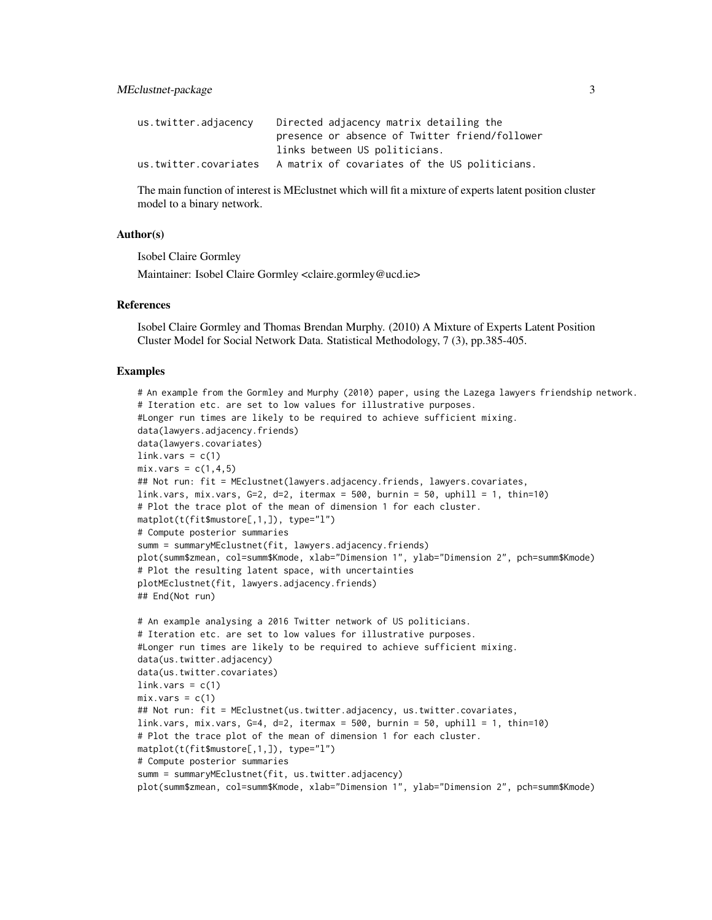MEclustnet-package 3

| us.twitter.adjacency  | Directed adjacency matrix detailing the        |
|-----------------------|------------------------------------------------|
|                       | presence or absence of Twitter friend/follower |
|                       | links between US politicians.                  |
| us.twitter.covariates | A matrix of covariates of the US politicians.  |

The main function of interest is MEclustnet which will fit a mixture of experts latent position cluster model to a binary network.

## Author(s)

Isobel Claire Gormley

Maintainer: Isobel Claire Gormley <claire.gormley@ucd.ie>

## References

Isobel Claire Gormley and Thomas Brendan Murphy. (2010) A Mixture of Experts Latent Position Cluster Model for Social Network Data. Statistical Methodology, 7 (3), pp.385-405.

```
# An example from the Gormley and Murphy (2010) paper, using the Lazega lawyers friendship network.
# Iteration etc. are set to low values for illustrative purposes.
#Longer run times are likely to be required to achieve sufficient mixing.
data(lawyers.adjacency.friends)
data(lawyers.covariates)
link.vars = c(1)mix.vars = c(1, 4, 5)## Not run: fit = MEclustnet(lawyers.adjacency.friends, lawyers.covariates,
link.vars, mix.vars, G=2, d=2, itermax = 500, burnin = 50, uphill = 1, thin=10)
# Plot the trace plot of the mean of dimension 1 for each cluster.
matplot(t(fit$mustore[,1,]), type="l")
# Compute posterior summaries
summ = summaryMEclustnet(fit, lawyers.adjacency.friends)
plot(summ$zmean, col=summ$Kmode, xlab="Dimension 1", ylab="Dimension 2", pch=summ$Kmode)
# Plot the resulting latent space, with uncertainties
plotMEclustnet(fit, lawyers.adjacency.friends)
## End(Not run)
# An example analysing a 2016 Twitter network of US politicians.
# Iteration etc. are set to low values for illustrative purposes.
#Longer run times are likely to be required to achieve sufficient mixing.
data(us.twitter.adjacency)
data(us.twitter.covariates)
link.vars = c(1)mix.vars = c(1)## Not run: fit = MEclustnet(us.twitter.adjacency, us.twitter.covariates,
link.vars, mix.vars, G=4, d=2, itermax = 500, burnin = 50, uphill = 1, thin=10)
# Plot the trace plot of the mean of dimension 1 for each cluster.
matplot(t(fit$mustore[,1,]), type="l")
# Compute posterior summaries
summ = summaryMEclustnet(fit, us.twitter.adjacency)
plot(summ$zmean, col=summ$Kmode, xlab="Dimension 1", ylab="Dimension 2", pch=summ$Kmode)
```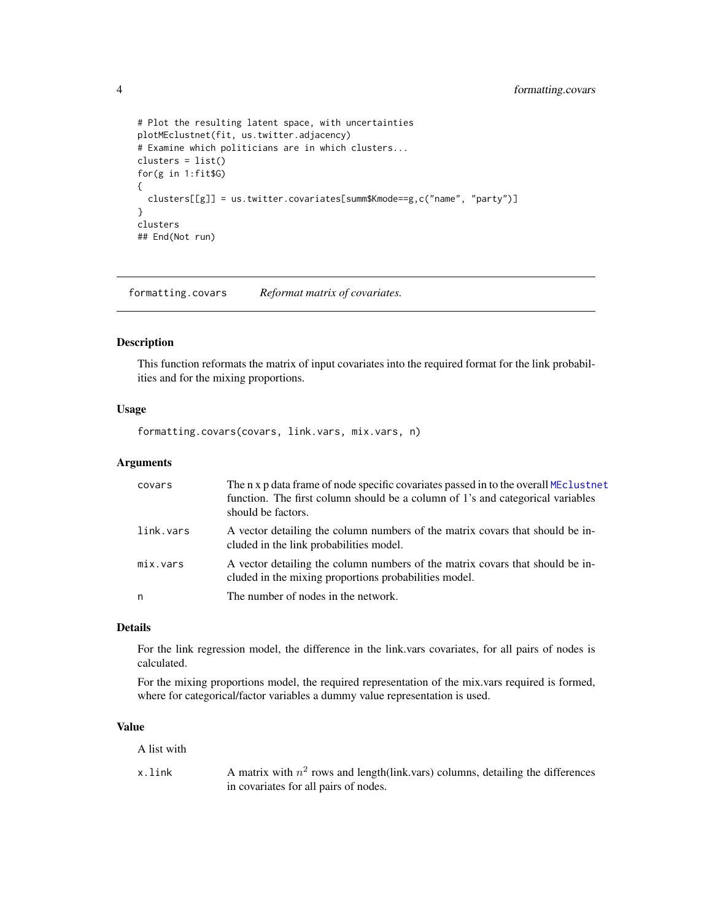```
# Plot the resulting latent space, with uncertainties
plotMEclustnet(fit, us.twitter.adjacency)
# Examine which politicians are in which clusters...
clusters = list()
for(g in 1:fit$G)
{
  clusters[[g]] = us.twitter.covariates[summ$Kmode==g,c("name", "party")]
}
clusters
## End(Not run)
```
formatting.covars *Reformat matrix of covariates.*

#### Description

This function reformats the matrix of input covariates into the required format for the link probabilities and for the mixing proportions.

## Usage

formatting.covars(covars, link.vars, mix.vars, n)

#### **Arguments**

| covars    | The n x p data frame of node specific covariates passed in to the overall MEclustnet<br>function. The first column should be a column of 1's and categorical variables<br>should be factors. |
|-----------|----------------------------------------------------------------------------------------------------------------------------------------------------------------------------------------------|
| link.vars | A vector detailing the column numbers of the matrix covars that should be in-<br>cluded in the link probabilities model.                                                                     |
| mix.vars  | A vector detailing the column numbers of the matrix covars that should be in-<br>cluded in the mixing proportions probabilities model.                                                       |
| n         | The number of nodes in the network.                                                                                                                                                          |

#### Details

For the link regression model, the difference in the link.vars covariates, for all pairs of nodes is calculated.

For the mixing proportions model, the required representation of the mix.vars required is formed, where for categorical/factor variables a dummy value representation is used.

## Value

A list with

x.link A matrix with  $n^2$  rows and length(link.vars) columns, detailing the differences in covariates for all pairs of nodes.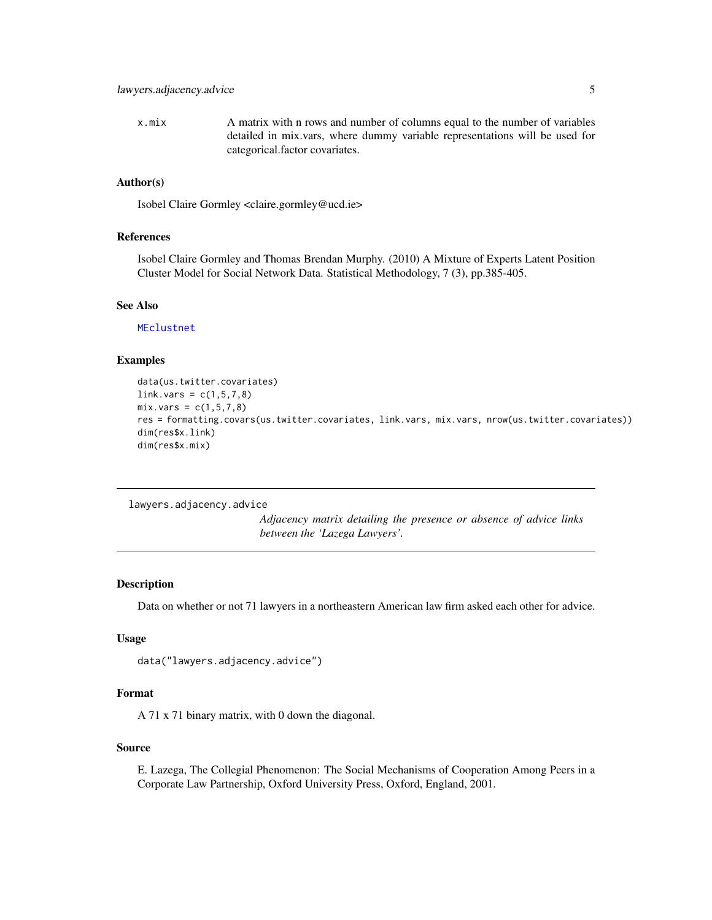<span id="page-4-0"></span>x.mix A matrix with n rows and number of columns equal to the number of variables detailed in mix.vars, where dummy variable representations will be used for categorical.factor covariates.

## Author(s)

Isobel Claire Gormley <claire.gormley@ucd.ie>

## References

Isobel Claire Gormley and Thomas Brendan Murphy. (2010) A Mixture of Experts Latent Position Cluster Model for Social Network Data. Statistical Methodology, 7 (3), pp.385-405.

## See Also

[MEclustnet](#page-7-1)

## Examples

```
data(us.twitter.covariates)
link.vars = c(1, 5, 7, 8)mix.vars = c(1, 5, 7, 8)res = formatting.covars(us.twitter.covariates, link.vars, mix.vars, nrow(us.twitter.covariates))
dim(res$x.link)
dim(res$x.mix)
```
lawyers.adjacency.advice

*Adjacency matrix detailing the presence or absence of advice links between the 'Lazega Lawyers'.*

#### Description

Data on whether or not 71 lawyers in a northeastern American law firm asked each other for advice.

## Usage

```
data("lawyers.adjacency.advice")
```
## Format

A 71 x 71 binary matrix, with 0 down the diagonal.

#### Source

E. Lazega, The Collegial Phenomenon: The Social Mechanisms of Cooperation Among Peers in a Corporate Law Partnership, Oxford University Press, Oxford, England, 2001.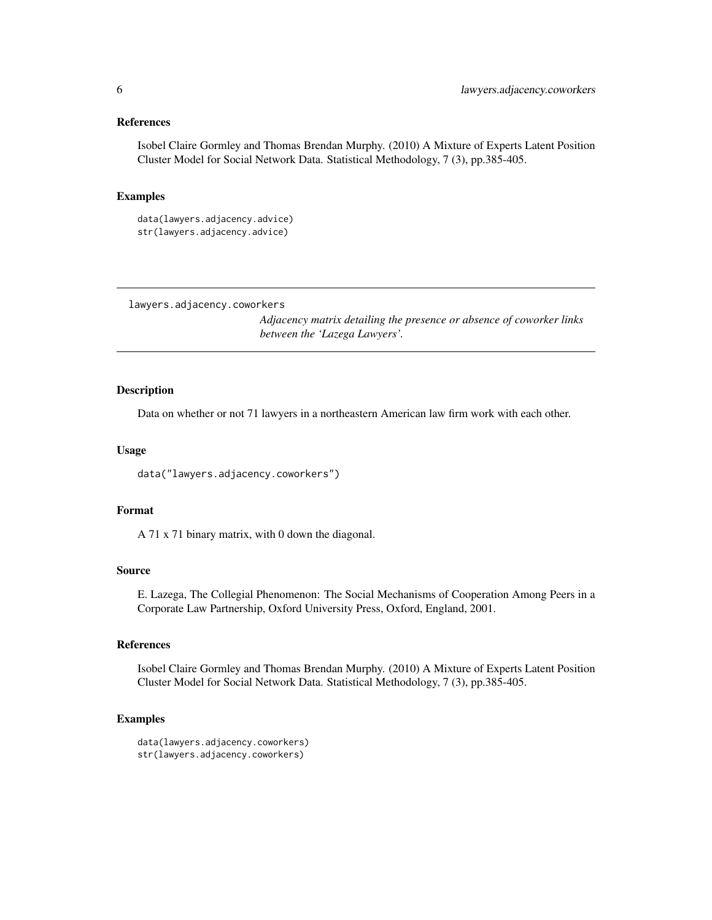#### <span id="page-5-0"></span>References

Isobel Claire Gormley and Thomas Brendan Murphy. (2010) A Mixture of Experts Latent Position Cluster Model for Social Network Data. Statistical Methodology, 7 (3), pp.385-405.

## Examples

```
data(lawyers.adjacency.advice)
str(lawyers.adjacency.advice)
```
lawyers.adjacency.coworkers

*Adjacency matrix detailing the presence or absence of coworker links between the 'Lazega Lawyers'.*

## Description

Data on whether or not 71 lawyers in a northeastern American law firm work with each other.

#### Usage

```
data("lawyers.adjacency.coworkers")
```
## Format

A 71 x 71 binary matrix, with 0 down the diagonal.

## Source

E. Lazega, The Collegial Phenomenon: The Social Mechanisms of Cooperation Among Peers in a Corporate Law Partnership, Oxford University Press, Oxford, England, 2001.

## References

Isobel Claire Gormley and Thomas Brendan Murphy. (2010) A Mixture of Experts Latent Position Cluster Model for Social Network Data. Statistical Methodology, 7 (3), pp.385-405.

```
data(lawyers.adjacency.coworkers)
str(lawyers.adjacency.coworkers)
```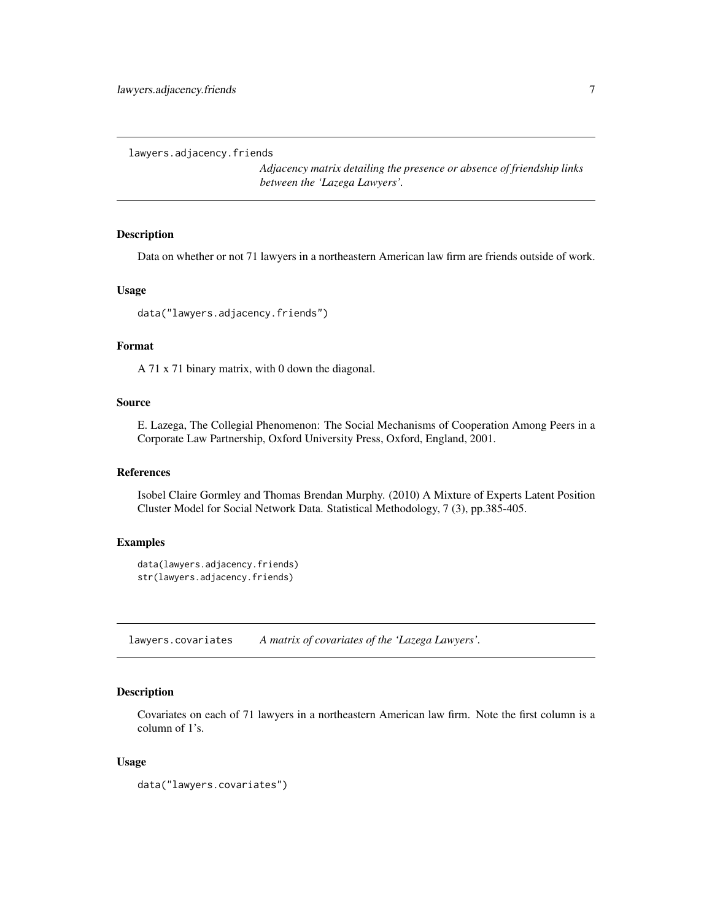```
lawyers.adjacency.friends
```
*Adjacency matrix detailing the presence or absence of friendship links between the 'Lazega Lawyers'.*

## Description

Data on whether or not 71 lawyers in a northeastern American law firm are friends outside of work.

#### Usage

```
data("lawyers.adjacency.friends")
```
#### Format

A 71 x 71 binary matrix, with 0 down the diagonal.

## Source

E. Lazega, The Collegial Phenomenon: The Social Mechanisms of Cooperation Among Peers in a Corporate Law Partnership, Oxford University Press, Oxford, England, 2001.

## References

Isobel Claire Gormley and Thomas Brendan Murphy. (2010) A Mixture of Experts Latent Position Cluster Model for Social Network Data. Statistical Methodology, 7 (3), pp.385-405.

## Examples

```
data(lawyers.adjacency.friends)
str(lawyers.adjacency.friends)
```
lawyers.covariates *A matrix of covariates of the 'Lazega Lawyers'.*

#### Description

Covariates on each of 71 lawyers in a northeastern American law firm. Note the first column is a column of 1's.

#### Usage

```
data("lawyers.covariates")
```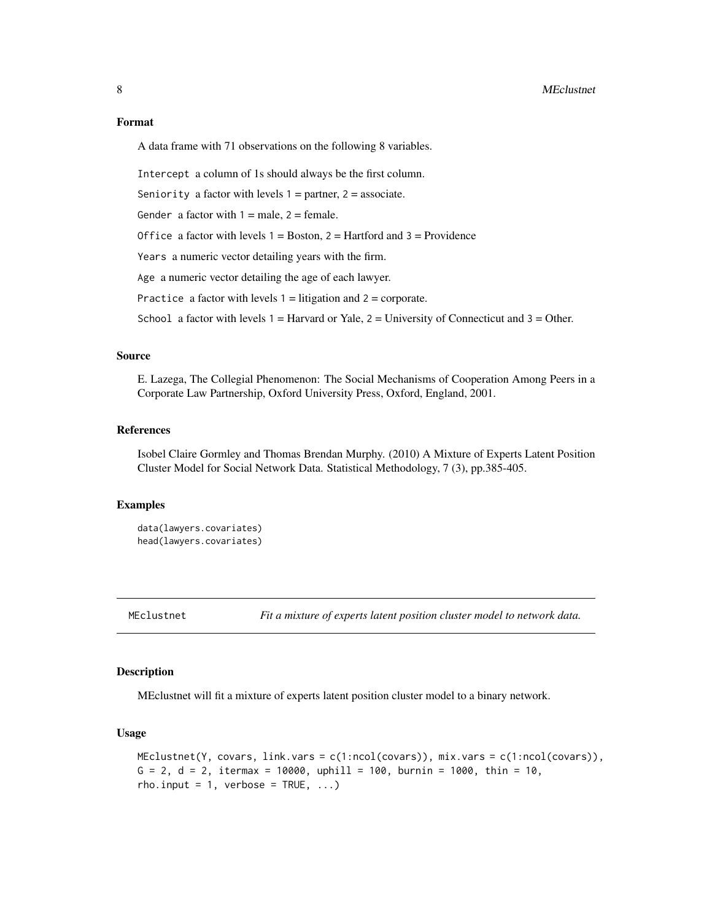## <span id="page-7-0"></span>Format

A data frame with 71 observations on the following 8 variables.

Intercept a column of 1s should always be the first column.

Seniority a factor with levels  $1 =$  partner,  $2 =$  associate.

Gender a factor with  $1 =$  male,  $2 =$  female.

Office a factor with levels  $1 = Boston$ ,  $2 = Hartford$  and  $3 = Providence$ 

Years a numeric vector detailing years with the firm.

Age a numeric vector detailing the age of each lawyer.

Practice a factor with levels  $1 =$  litigation and  $2 =$  corporate.

School a factor with levels  $1 =$  Harvard or Yale,  $2 =$  University of Connecticut and  $3 =$  Other.

## Source

E. Lazega, The Collegial Phenomenon: The Social Mechanisms of Cooperation Among Peers in a Corporate Law Partnership, Oxford University Press, Oxford, England, 2001.

## References

Isobel Claire Gormley and Thomas Brendan Murphy. (2010) A Mixture of Experts Latent Position Cluster Model for Social Network Data. Statistical Methodology, 7 (3), pp.385-405.

#### Examples

```
data(lawyers.covariates)
head(lawyers.covariates)
```
<span id="page-7-1"></span>MEclustnet *Fit a mixture of experts latent position cluster model to network data.*

## **Description**

MEclustnet will fit a mixture of experts latent position cluster model to a binary network.

#### Usage

```
MEclustnet(Y, covars, link.vars = c(1:ncol(covars)), mix.vars = c(1:ncol(covars)),
G = 2, d = 2, itermax = 10000, uphill = 100, burnin = 1000, thin = 10,
rho.input = 1, verbose = TRUE, ...)
```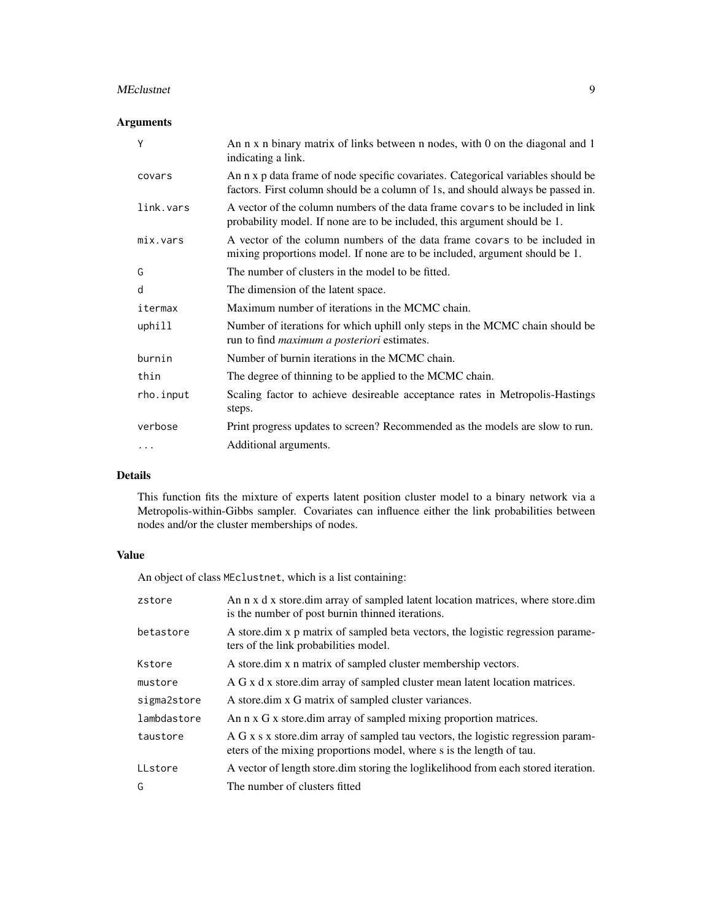#### MEclustnet 9

## Arguments

| Y         | An n x n binary matrix of links between n nodes, with 0 on the diagonal and 1<br>indicating a link.                                                                 |
|-----------|---------------------------------------------------------------------------------------------------------------------------------------------------------------------|
| covars    | An n x p data frame of node specific covariates. Categorical variables should be<br>factors. First column should be a column of 1s, and should always be passed in. |
| link.vars | A vector of the column numbers of the data frame covars to be included in link<br>probability model. If none are to be included, this argument should be 1.         |
| mix.vars  | A vector of the column numbers of the data frame covars to be included in<br>mixing proportions model. If none are to be included, argument should be 1.            |
| G         | The number of clusters in the model to be fitted.                                                                                                                   |
| d         | The dimension of the latent space.                                                                                                                                  |
| itermax   | Maximum number of iterations in the MCMC chain.                                                                                                                     |
| uphill    | Number of iterations for which uphill only steps in the MCMC chain should be<br>run to find <i>maximum a posteriori</i> estimates.                                  |
| burnin    | Number of burnin iterations in the MCMC chain.                                                                                                                      |
| thin      | The degree of thinning to be applied to the MCMC chain.                                                                                                             |
| rho.input | Scaling factor to achieve desireable acceptance rates in Metropolis-Hastings<br>steps.                                                                              |
| verbose   | Print progress updates to screen? Recommended as the models are slow to run.                                                                                        |
| .         | Additional arguments.                                                                                                                                               |

## Details

This function fits the mixture of experts latent position cluster model to a binary network via a Metropolis-within-Gibbs sampler. Covariates can influence either the link probabilities between nodes and/or the cluster memberships of nodes.

## Value

An object of class MEclustnet, which is a list containing:

| zstore      | An n x d x store.dim array of sampled latent location matrices, where store.dim<br>is the number of post burnin thinned iterations.                      |
|-------------|----------------------------------------------------------------------------------------------------------------------------------------------------------|
| betastore   | A store dim x p matrix of sampled beta vectors, the logistic regression parame-<br>ters of the link probabilities model.                                 |
| Kstore      | A store dim x n matrix of sampled cluster membership vectors.                                                                                            |
| mustore     | A G x d x store. dim array of sampled cluster mean latent location matrices.                                                                             |
| sigma2store | A store.dim x G matrix of sampled cluster variances.                                                                                                     |
| lambdastore | An n x G x store dim array of sampled mixing proportion matrices.                                                                                        |
| taustore    | A G x s x store.dim array of sampled tau vectors, the logistic regression param-<br>eters of the mixing proportions model, where s is the length of tau. |
| LLstore     | A vector of length store, dim storing the loglikelihood from each stored iteration.                                                                      |
| G           | The number of clusters fitted                                                                                                                            |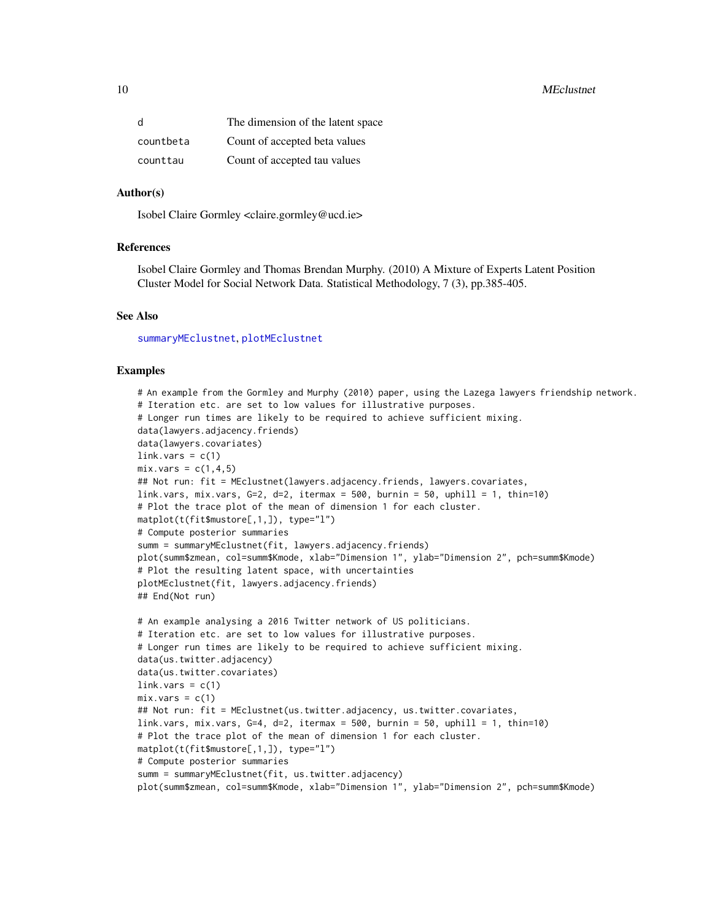<span id="page-9-0"></span>

| d         | The dimension of the latent space |
|-----------|-----------------------------------|
| countbeta | Count of accepted beta values     |
| counttau  | Count of accepted tau values      |

#### Author(s)

Isobel Claire Gormley <claire.gormley@ucd.ie>

### References

Isobel Claire Gormley and Thomas Brendan Murphy. (2010) A Mixture of Experts Latent Position Cluster Model for Social Network Data. Statistical Methodology, 7 (3), pp.385-405.

#### See Also

[summaryMEclustnet](#page-12-1), [plotMEclustnet](#page-10-1)

```
# An example from the Gormley and Murphy (2010) paper, using the Lazega lawyers friendship network.
# Iteration etc. are set to low values for illustrative purposes.
# Longer run times are likely to be required to achieve sufficient mixing.
data(lawyers.adjacency.friends)
data(lawyers.covariates)
link.vars = c(1)mix.vars = c(1, 4, 5)## Not run: fit = MEclustnet(lawyers.adjacency.friends, lawyers.covariates,
link.vars, mix.vars, G=2, d=2, itermax = 500, burnin = 50, uphill = 1, thin=10)
# Plot the trace plot of the mean of dimension 1 for each cluster.
matplot(t(fit$mustore[,1,]), type="l")
# Compute posterior summaries
summ = summaryMEclustnet(fit, lawyers.adjacency.friends)
plot(summ$zmean, col=summ$Kmode, xlab="Dimension 1", ylab="Dimension 2", pch=summ$Kmode)
# Plot the resulting latent space, with uncertainties
plotMEclustnet(fit, lawyers.adjacency.friends)
## End(Not run)
# An example analysing a 2016 Twitter network of US politicians.
# Iteration etc. are set to low values for illustrative purposes.
# Longer run times are likely to be required to achieve sufficient mixing.
data(us.twitter.adjacency)
data(us.twitter.covariates)
link.vars = c(1)mix.vars = c(1)## Not run: fit = MEclustnet(us.twitter.adjacency, us.twitter.covariates,
link.vars, mix.vars, G=4, d=2, itermax = 500, burnin = 50, uphill = 1, thin=10)
# Plot the trace plot of the mean of dimension 1 for each cluster.
matplot(t(fit$mustore[,1,]), type="l")
# Compute posterior summaries
summ = summaryMEclustnet(fit, us.twitter.adjacency)
plot(summ$zmean, col=summ$Kmode, xlab="Dimension 1", ylab="Dimension 2", pch=summ$Kmode)
```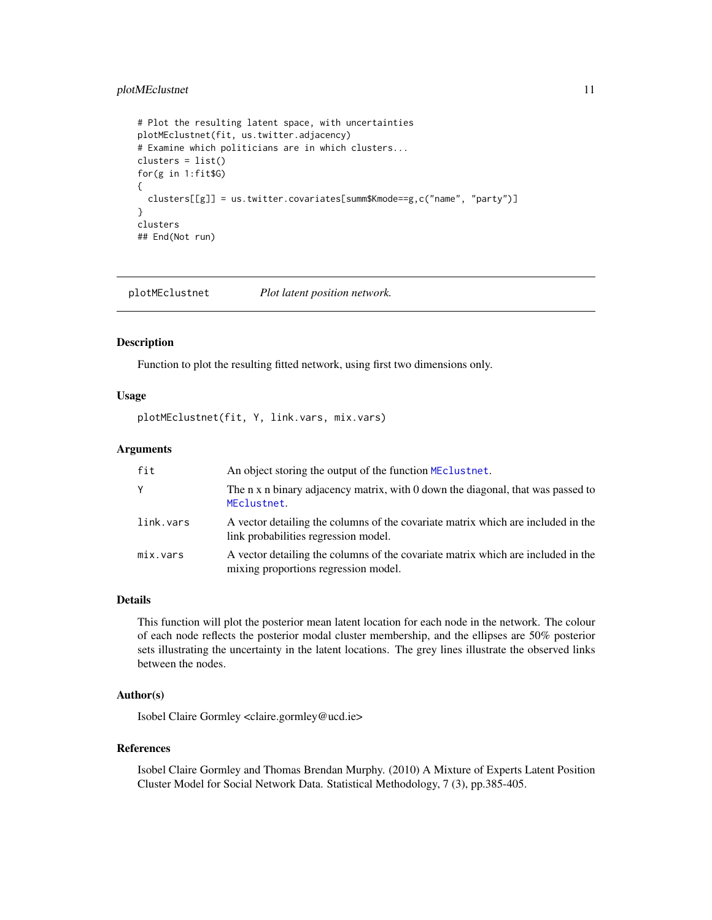## <span id="page-10-0"></span>plotMEclustnet 11

```
# Plot the resulting latent space, with uncertainties
plotMEclustnet(fit, us.twitter.adjacency)
# Examine which politicians are in which clusters...
clusters = list()
for(g in 1:fit$G)
{
  clusters[[g]] = us.twitter.covariates[summ$Kmode==g,c("name", "party")]
}
clusters
## End(Not run)
```
<span id="page-10-1"></span>plotMEclustnet *Plot latent position network.*

#### Description

Function to plot the resulting fitted network, using first two dimensions only.

#### Usage

plotMEclustnet(fit, Y, link.vars, mix.vars)

## Arguments

| fit       | An object storing the output of the function MEclustnet.                                                                 |
|-----------|--------------------------------------------------------------------------------------------------------------------------|
| Y         | The n x n binary adjacency matrix, with 0 down the diagonal, that was passed to<br>MEclustnet.                           |
| link.vars | A vector detailing the columns of the covariate matrix which are included in the<br>link probabilities regression model. |
| mix.vars  | A vector detailing the columns of the covariate matrix which are included in the<br>mixing proportions regression model. |

## Details

This function will plot the posterior mean latent location for each node in the network. The colour of each node reflects the posterior modal cluster membership, and the ellipses are 50% posterior sets illustrating the uncertainty in the latent locations. The grey lines illustrate the observed links between the nodes.

## Author(s)

Isobel Claire Gormley <claire.gormley@ucd.ie>

## References

Isobel Claire Gormley and Thomas Brendan Murphy. (2010) A Mixture of Experts Latent Position Cluster Model for Social Network Data. Statistical Methodology, 7 (3), pp.385-405.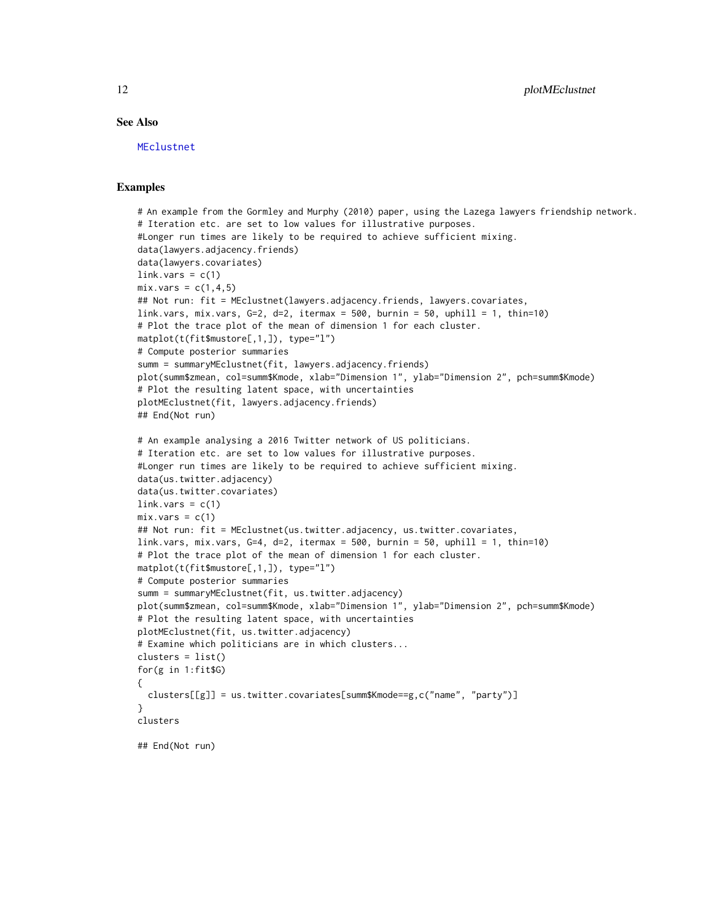## See Also

[MEclustnet](#page-7-1)

```
# An example from the Gormley and Murphy (2010) paper, using the Lazega lawyers friendship network.
# Iteration etc. are set to low values for illustrative purposes.
#Longer run times are likely to be required to achieve sufficient mixing.
data(lawyers.adjacency.friends)
data(lawyers.covariates)
link.vars = c(1)mix.vars = c(1,4,5)## Not run: fit = MEclustnet(lawyers.adjacency.friends, lawyers.covariates,
link.vars, mix.vars, G=2, d=2, itermax = 500, burnin = 50, uphill = 1, thin=10)
# Plot the trace plot of the mean of dimension 1 for each cluster.
matplot(t(fit$mustore[,1,]), type="l")
# Compute posterior summaries
summ = summaryMEclustnet(fit, lawyers.adjacency.friends)
plot(summ$zmean, col=summ$Kmode, xlab="Dimension 1", ylab="Dimension 2", pch=summ$Kmode)
# Plot the resulting latent space, with uncertainties
plotMEclustnet(fit, lawyers.adjacency.friends)
## End(Not run)
# An example analysing a 2016 Twitter network of US politicians.
# Iteration etc. are set to low values for illustrative purposes.
#Longer run times are likely to be required to achieve sufficient mixing.
data(us.twitter.adjacency)
data(us.twitter.covariates)
link.vars = c(1)mix.vars = c(1)## Not run: fit = MEclustnet(us.twitter.adjacency, us.twitter.covariates,
link.vars, mix.vars, G=4, d=2, itermax = 500, burnin = 50, uphill = 1, thin=10)
# Plot the trace plot of the mean of dimension 1 for each cluster.
matplot(t(fit$mustore[,1,]), type="l")
# Compute posterior summaries
summ = summaryMEclustnet(fit, us.twitter.adjacency)
plot(summ$zmean, col=summ$Kmode, xlab="Dimension 1", ylab="Dimension 2", pch=summ$Kmode)
# Plot the resulting latent space, with uncertainties
plotMEclustnet(fit, us.twitter.adjacency)
# Examine which politicians are in which clusters...
clusters = list()
for(g in 1:fit$G)
{
 clusters[[g]] = us.twitter.covariates[summ$Kmode==g,c("name", "party")]
}
clusters
## End(Not run)
```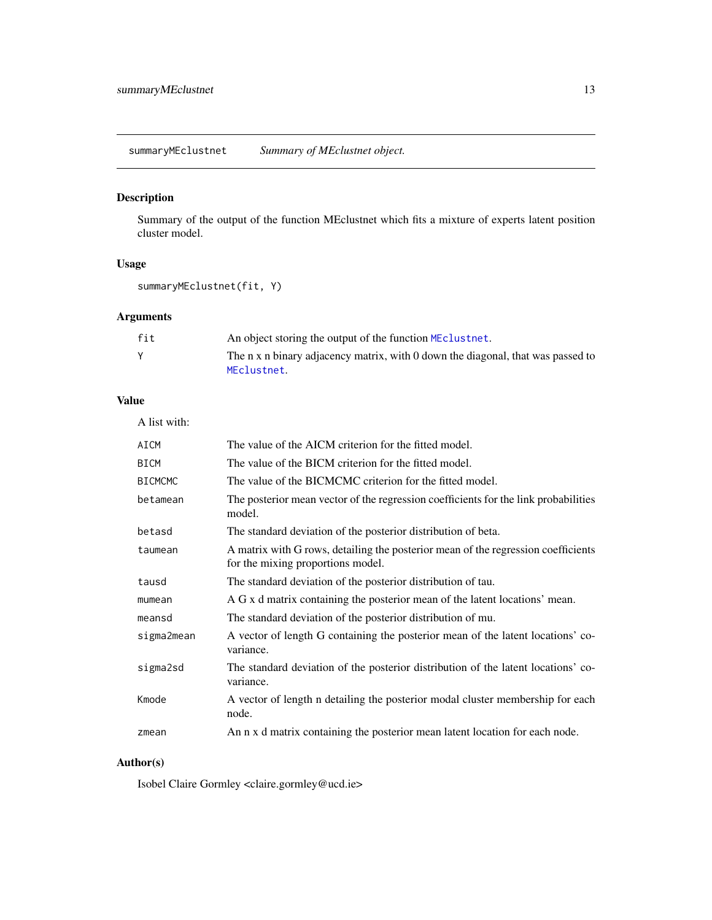<span id="page-12-1"></span><span id="page-12-0"></span>summaryMEclustnet *Summary of MEclustnet object.*

## Description

Summary of the output of the function MEclustnet which fits a mixture of experts latent position cluster model.

## Usage

```
summaryMEclustnet(fit, Y)
```
## Arguments

| fit | An object storing the output of the function MEclustnet.                                       |
|-----|------------------------------------------------------------------------------------------------|
|     | The n x n binary adjacency matrix, with 0 down the diagonal, that was passed to<br>MEclustnet. |

## Value

A list with:

| AICM           | The value of the AICM criterion for the fitted model.                                                                  |
|----------------|------------------------------------------------------------------------------------------------------------------------|
| <b>BICM</b>    | The value of the BICM criterion for the fitted model.                                                                  |
| <b>BICMCMC</b> | The value of the BICMCMC criterion for the fitted model.                                                               |
| betamean       | The posterior mean vector of the regression coefficients for the link probabilities<br>model.                          |
| betasd         | The standard deviation of the posterior distribution of beta.                                                          |
| taumean        | A matrix with G rows, detailing the posterior mean of the regression coefficients<br>for the mixing proportions model. |
| tausd          | The standard deviation of the posterior distribution of tau.                                                           |
| mumean         | A G x d matrix containing the posterior mean of the latent locations' mean.                                            |
| meansd         | The standard deviation of the posterior distribution of mu.                                                            |
| sigma2mean     | A vector of length G containing the posterior mean of the latent locations' co-<br>variance.                           |
| sigma2sd       | The standard deviation of the posterior distribution of the latent locations' co-<br>variance.                         |
| Kmode          | A vector of length n detailing the posterior modal cluster membership for each<br>node.                                |
| zmean          | An n x d matrix containing the posterior mean latent location for each node.                                           |
|                |                                                                                                                        |

## Author(s)

Isobel Claire Gormley <claire.gormley@ucd.ie>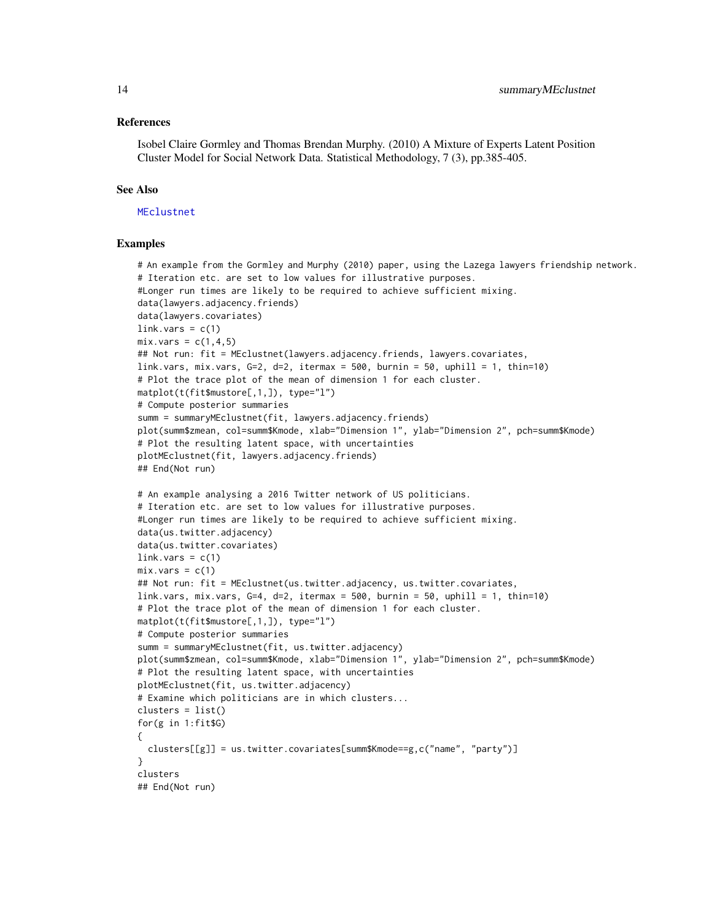#### <span id="page-13-0"></span>References

Isobel Claire Gormley and Thomas Brendan Murphy. (2010) A Mixture of Experts Latent Position Cluster Model for Social Network Data. Statistical Methodology, 7 (3), pp.385-405.

## See Also

#### [MEclustnet](#page-7-1)

```
# An example from the Gormley and Murphy (2010) paper, using the Lazega lawyers friendship network.
# Iteration etc. are set to low values for illustrative purposes.
#Longer run times are likely to be required to achieve sufficient mixing.
data(lawyers.adjacency.friends)
data(lawyers.covariates)
link.yars = c(1)mix.vars = c(1, 4, 5)## Not run: fit = MEclustnet(lawyers.adjacency.friends, lawyers.covariates,
link.vars, mix.vars, G=2, d=2, itermax = 500, burnin = 50, uphill = 1, thin=10)
# Plot the trace plot of the mean of dimension 1 for each cluster.
matplot(t(fit$mustore[,1,]), type="l")
# Compute posterior summaries
summ = summaryMEclustnet(fit, lawyers.adjacency.friends)
plot(summ$zmean, col=summ$Kmode, xlab="Dimension 1", ylab="Dimension 2", pch=summ$Kmode)
# Plot the resulting latent space, with uncertainties
plotMEclustnet(fit, lawyers.adjacency.friends)
## End(Not run)
# An example analysing a 2016 Twitter network of US politicians.
# Iteration etc. are set to low values for illustrative purposes.
#Longer run times are likely to be required to achieve sufficient mixing.
data(us.twitter.adjacency)
data(us.twitter.covariates)
link.vars = c(1)mix.vars = c(1)## Not run: fit = MEclustnet(us.twitter.adjacency, us.twitter.covariates,
link.vars, mix.vars, G=4, d=2, itermax = 500, burnin = 50, uphill = 1, thin=10)
# Plot the trace plot of the mean of dimension 1 for each cluster.
matplot(t(fit$mustore[,1,]), type="l")
# Compute posterior summaries
summ = summaryMEclustnet(fit, us.twitter.adjacency)
plot(summ$zmean, col=summ$Kmode, xlab="Dimension 1", ylab="Dimension 2", pch=summ$Kmode)
# Plot the resulting latent space, with uncertainties
plotMEclustnet(fit, us.twitter.adjacency)
# Examine which politicians are in which clusters...
clusters = list()
for(g in 1:fit$G)
\mathfrak{t}clusters[[g]] = us.twitter.covariates[summ$Kmode==g,c("name", "party")]
}
clusters
## End(Not run)
```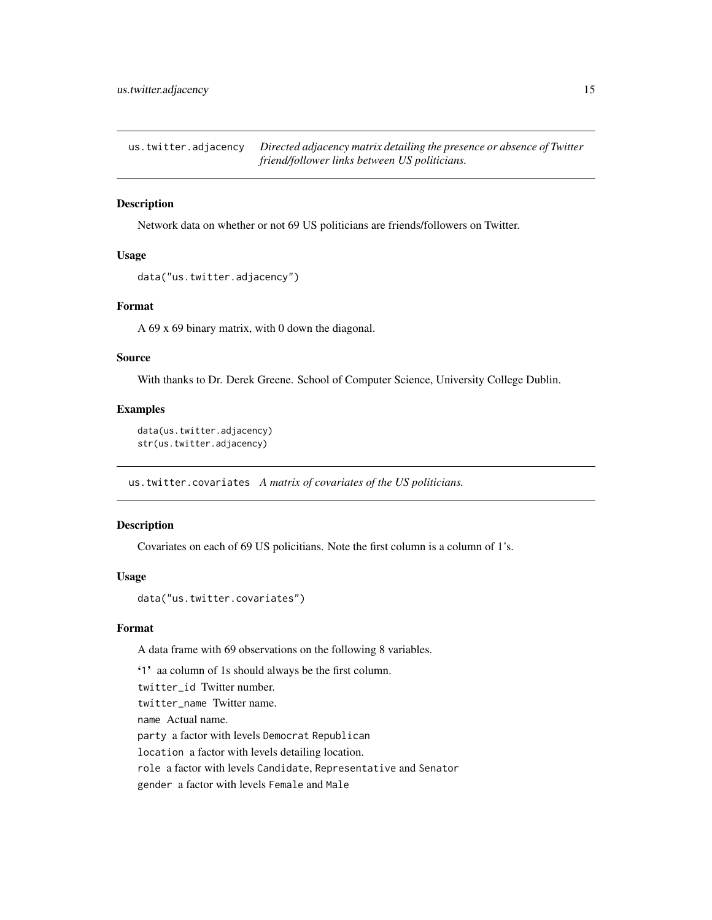<span id="page-14-0"></span>us.twitter.adjacency *Directed adjacency matrix detailing the presence or absence of Twitter friend/follower links between US politicians.*

## Description

Network data on whether or not 69 US politicians are friends/followers on Twitter.

## Usage

```
data("us.twitter.adjacency")
```
## Format

A 69 x 69 binary matrix, with 0 down the diagonal.

#### Source

With thanks to Dr. Derek Greene. School of Computer Science, University College Dublin.

#### Examples

```
data(us.twitter.adjacency)
str(us.twitter.adjacency)
```
us.twitter.covariates *A matrix of covariates of the US politicians.*

## Description

Covariates on each of 69 US policitians. Note the first column is a column of 1's.

#### Usage

```
data("us.twitter.covariates")
```
#### Format

A data frame with 69 observations on the following 8 variables.

'1' aa column of 1s should always be the first column.

twitter\_id Twitter number.

twitter\_name Twitter name.

name Actual name.

party a factor with levels Democrat Republican

location a factor with levels detailing location.

role a factor with levels Candidate, Representative and Senator

gender a factor with levels Female and Male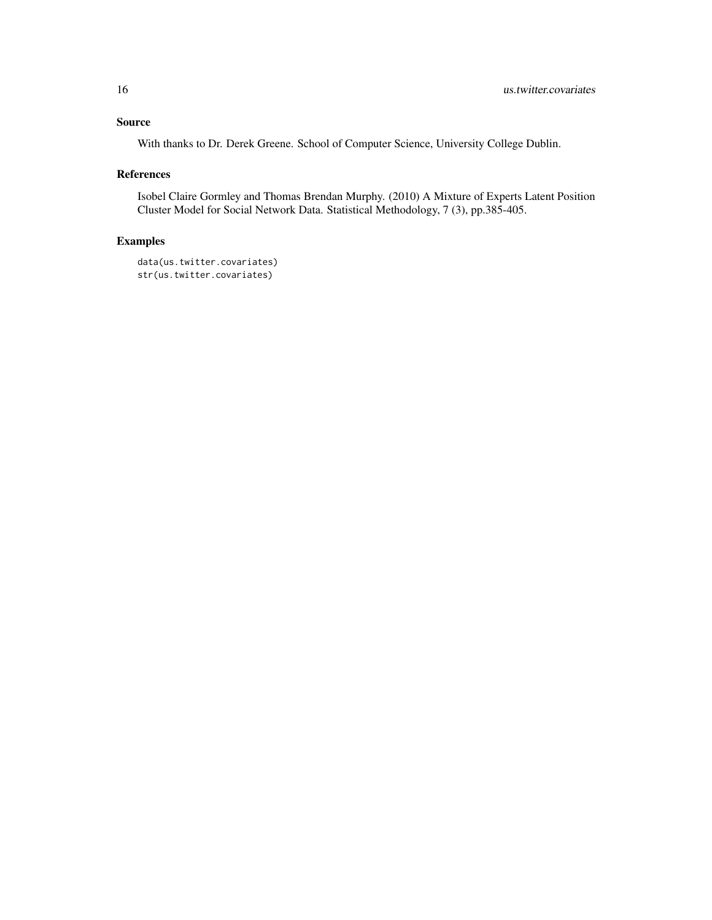## Source

With thanks to Dr. Derek Greene. School of Computer Science, University College Dublin.

## References

Isobel Claire Gormley and Thomas Brendan Murphy. (2010) A Mixture of Experts Latent Position Cluster Model for Social Network Data. Statistical Methodology, 7 (3), pp.385-405.

```
data(us.twitter.covariates)
str(us.twitter.covariates)
```